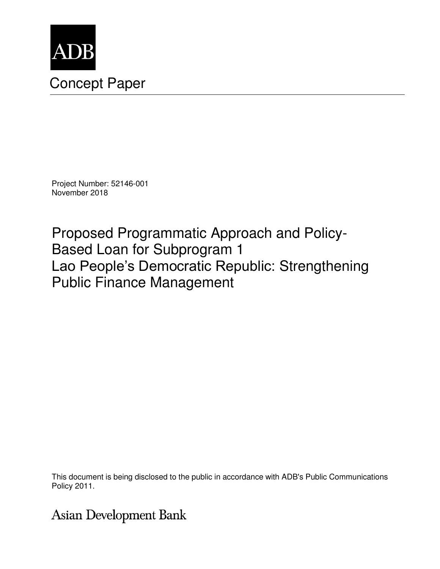

# Concept Paper

Project Number: 52146-001 November 2018

Proposed Programmatic Approach and Policy-Based Loan for Subprogram 1 Lao People's Democratic Republic: Strengthening Public Finance Management

This document is being disclosed to the public in accordance with ADB's Public Communications Policy 2011.

## **Asian Development Bank**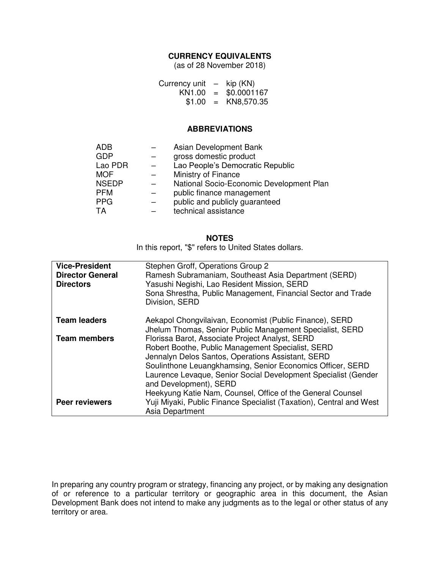## **CURRENCY EQUIVALENTS**

(as of 28 November 2018)

| Currency unit      | $\overline{\phantom{0}}$  | kip (KN)    |
|--------------------|---------------------------|-------------|
| KN <sub>1.00</sub> | $=$                       | \$0.0001167 |
| \$1.00             | $\mathbf{r} = \mathbf{r}$ | KN8,570.35  |

#### **ABBREVIATIONS**

| <b>ADB</b>   | Asian Development Bank                   |
|--------------|------------------------------------------|
| <b>GDP</b>   | gross domestic product                   |
| Lao PDR      | Lao People's Democratic Republic         |
| <b>MOF</b>   | Ministry of Finance                      |
| <b>NSEDP</b> | National Socio-Economic Development Plan |
| <b>PFM</b>   | public finance management                |
| <b>PPG</b>   | public and publicly guaranteed           |
| TA           | technical assistance                     |
|              |                                          |

#### **NOTES**

In this report, "\$" refers to United States dollars.

| <b>Vice-President</b><br><b>Director General</b> | Stephen Groff, Operations Group 2<br>Ramesh Subramaniam, Southeast Asia Department (SERD)                                                                                                                                                                                                                                                                                         |
|--------------------------------------------------|-----------------------------------------------------------------------------------------------------------------------------------------------------------------------------------------------------------------------------------------------------------------------------------------------------------------------------------------------------------------------------------|
| <b>Directors</b>                                 | Yasushi Negishi, Lao Resident Mission, SERD<br>Sona Shrestha, Public Management, Financial Sector and Trade<br>Division, SERD                                                                                                                                                                                                                                                     |
| <b>Team leaders</b>                              | Aekapol Chongvilaivan, Economist (Public Finance), SERD<br>Jhelum Thomas, Senior Public Management Specialist, SERD                                                                                                                                                                                                                                                               |
| <b>Team members</b>                              | Florissa Barot, Associate Project Analyst, SERD<br>Robert Boothe, Public Management Specialist, SERD<br>Jennalyn Delos Santos, Operations Assistant, SERD<br>Soulinthone Leuangkhamsing, Senior Economics Officer, SERD<br>Laurence Levaque, Senior Social Development Specialist (Gender<br>and Development), SERD<br>Heekyung Katie Nam, Counsel, Office of the General Counsel |
| <b>Peer reviewers</b>                            | Yuji Miyaki, Public Finance Specialist (Taxation), Central and West<br>Asia Department                                                                                                                                                                                                                                                                                            |

In preparing any country program or strategy, financing any project, or by making any designation of or reference to a particular territory or geographic area in this document, the Asian Development Bank does not intend to make any judgments as to the legal or other status of any territory or area.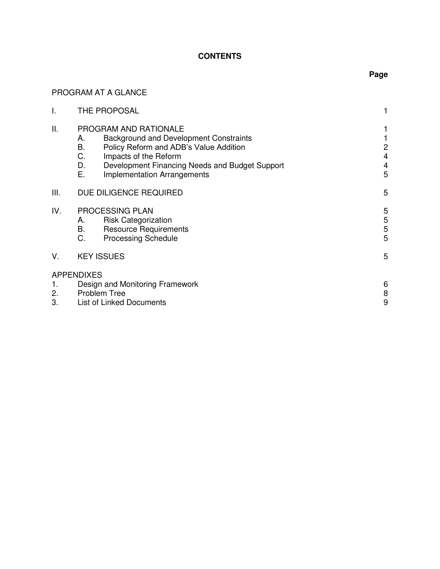## **CONTENTS**

## PROGRAM AT A GLANCE

| I.             |                            | THE PROPOSAL                                                                                                                                                                                                                      |                                        |
|----------------|----------------------------|-----------------------------------------------------------------------------------------------------------------------------------------------------------------------------------------------------------------------------------|----------------------------------------|
| ΙΙ.            | А.<br>B.<br>C.<br>D.<br>Ε. | PROGRAM AND RATIONALE<br><b>Background and Development Constraints</b><br>Policy Reform and ADB's Value Addition<br>Impacts of the Reform<br>Development Financing Needs and Budget Support<br><b>Implementation Arrangements</b> | 2<br>$\overline{\mathbf{4}}$<br>4<br>5 |
| Ш.             |                            | DUE DILIGENCE REQUIRED                                                                                                                                                                                                            | 5                                      |
| IV.            | А.<br><b>B.</b><br>C.      | PROCESSING PLAN<br><b>Risk Categorization</b><br><b>Resource Requirements</b><br><b>Processing Schedule</b>                                                                                                                       | 5<br>$\mathbf 5$<br>$\mathbf 5$<br>5   |
| V.             | <b>KEY ISSUES</b>          |                                                                                                                                                                                                                                   | 5                                      |
| 1.<br>2.<br>3. | <b>APPENDIXES</b>          | Design and Monitoring Framework<br>Problem Tree<br><b>List of Linked Documents</b>                                                                                                                                                | 6<br>8<br>9                            |

## **Page**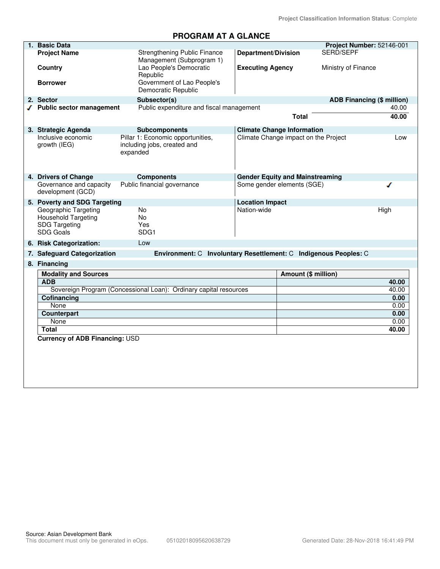## **PROGRAM AT A GLANCE**

| 1. Basic Data                                                                                  |                                                                                      |                                                       |                                        | Project Number: 52146-001         |
|------------------------------------------------------------------------------------------------|--------------------------------------------------------------------------------------|-------------------------------------------------------|----------------------------------------|-----------------------------------|
| <b>Project Name</b><br>Country                                                                 | Strengthening Public Finance<br>Management (Subprogram 1)<br>Lao People's Democratic | <b>Department/Division</b><br><b>Executing Agency</b> | SERD/SEPF                              | Ministry of Finance               |
| <b>Borrower</b>                                                                                | Republic<br>Government of Lao People's                                               |                                                       |                                        |                                   |
|                                                                                                | Democratic Republic                                                                  |                                                       |                                        |                                   |
| 2. Sector                                                                                      | Subsector(s)                                                                         |                                                       |                                        | <b>ADB Financing (\$ million)</b> |
| √ Public sector management                                                                     | Public expenditure and fiscal management                                             |                                                       |                                        | 40.00                             |
|                                                                                                |                                                                                      |                                                       | <b>Total</b>                           | 40.00                             |
| 3. Strategic Agenda                                                                            | <b>Subcomponents</b>                                                                 |                                                       | <b>Climate Change Information</b>      |                                   |
| Inclusive economic<br>growth (IEG)                                                             | Pillar 1: Economic opportunities,<br>including jobs, created and<br>expanded         |                                                       | Climate Change impact on the Project   | Low                               |
| 4. Drivers of Change                                                                           | <b>Components</b>                                                                    |                                                       | <b>Gender Equity and Mainstreaming</b> |                                   |
| Governance and capacity<br>development (GCD)                                                   | Public financial governance                                                          |                                                       | Some gender elements (SGE)             | ◢                                 |
| 5. Poverty and SDG Targeting                                                                   |                                                                                      | <b>Location Impact</b>                                |                                        |                                   |
| Geographic Targeting<br><b>Household Targeting</b><br><b>SDG Targeting</b><br><b>SDG Goals</b> | No<br>No<br>Yes<br>SDG1                                                              | Nation-wide                                           |                                        | High                              |
| 6. Risk Categorization:                                                                        | Low                                                                                  |                                                       |                                        |                                   |
| 7. Safeguard Categorization                                                                    | Environment: C Involuntary Resettlement: C Indigenous Peoples: C                     |                                                       |                                        |                                   |
| 8. Financing                                                                                   |                                                                                      |                                                       |                                        |                                   |
| <b>Modality and Sources</b>                                                                    |                                                                                      |                                                       | Amount (\$ million)                    |                                   |
| <b>ADB</b>                                                                                     |                                                                                      |                                                       |                                        | 40.00                             |
|                                                                                                | Sovereign Program (Concessional Loan): Ordinary capital resources                    |                                                       |                                        | 40.00                             |
| Cofinancing                                                                                    |                                                                                      |                                                       |                                        | 0.00                              |
| None                                                                                           |                                                                                      |                                                       |                                        | 0.00                              |
| Counterpart                                                                                    |                                                                                      |                                                       |                                        | 0.00                              |
| None                                                                                           |                                                                                      |                                                       |                                        | 0.00                              |
| <b>Total</b>                                                                                   |                                                                                      |                                                       |                                        | 40.00                             |
| <b>Currency of ADB Financing: USD</b>                                                          |                                                                                      |                                                       |                                        |                                   |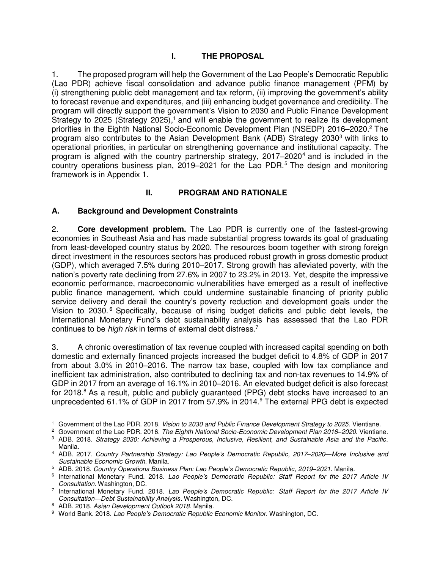## **I. THE PROPOSAL**

1. The proposed program will help the Government of the Lao People's Democratic Republic (Lao PDR) achieve fiscal consolidation and advance public finance management (PFM) by (i) strengthening public debt management and tax reform, (ii) improving the government's ability to forecast revenue and expenditures, and (iii) enhancing budget governance and credibility. The program will directly support the government's Vision to 2030 and Public Finance Development Strategy to 2025 (Strategy 2025),<sup>1</sup> and will enable the government to realize its development priorities in the Eighth National Socio-Economic Development Plan (NSEDP) 2016–2020.<sup>2</sup> The program also contributes to the Asian Development Bank (ADB) Strategy 2030<sup>3</sup> with links to operational priorities, in particular on strengthening governance and institutional capacity. The program is aligned with the country partnership strategy, 2017–2020<sup>4</sup> and is included in the country operations business plan, 2019–2021 for the Lao PDR.<sup>5</sup> The design and monitoring framework is in Appendix 1.

## **II. PROGRAM AND RATIONALE**

### **A. Background and Development Constraints**

2. **Core development problem.** The Lao PDR is currently one of the fastest-growing economies in Southeast Asia and has made substantial progress towards its goal of graduating from least-developed country status by 2020. The resources boom together with strong foreign direct investment in the resources sectors has produced robust growth in gross domestic product (GDP), which averaged 7.5% during 2010–2017. Strong growth has alleviated poverty, with the nation's poverty rate declining from 27.6% in 2007 to 23.2% in 2013. Yet, despite the impressive economic performance, macroeconomic vulnerabilities have emerged as a result of ineffective public finance management, which could undermine sustainable financing of priority public service delivery and derail the country's poverty reduction and development goals under the Vision to 2030.<sup>6</sup> Specifically, because of rising budget deficits and public debt levels, the International Monetary Fund's debt sustainability analysis has assessed that the Lao PDR continues to be *high risk* in terms of external debt distress.<sup>7</sup>

3. A chronic overestimation of tax revenue coupled with increased capital spending on both domestic and externally financed projects increased the budget deficit to 4.8% of GDP in 2017 from about 3.0% in 2010–2016. The narrow tax base, coupled with low tax compliance and inefficient tax administration, also contributed to declining tax and non-tax revenues to 14.9% of GDP in 2017 from an average of 16.1% in 2010–2016. An elevated budget deficit is also forecast for 2018.<sup>8</sup> As a result, public and publicly guaranteed (PPG) debt stocks have increased to an unprecedented 61.1% of GDP in 2017 from 57.9% in 2014.<sup>9</sup> The external PPG debt is expected

 $\overline{a}$ 1 Government of the Lao PDR. 2018. *Vision to 2030 and Public Finance Development Strategy to 2025*. Vientiane.

<sup>2</sup> Government of the Lao PDR. 2016. *The Eighth National Socio-Economic Development Plan 2016–2020*. Vientiane.

<sup>3</sup> ADB. 2018. *Strategy 2030: Achieving a Prosperous, Inclusive, Resilient, and Sustainable Asia and the Pacific*. Manila.

<sup>4</sup> ADB. 2017. *Country Partnership Strategy: Lao People's Democratic Republic, 2017–2020*—*More Inclusive and Sustainable Economic Growth*. Manila.

<sup>5</sup> ADB. 2018. *Country Operations Business Plan: Lao People's Democratic Republic, 2019–2021*. Manila.

<sup>6</sup> International Monetary Fund. 2018. *Lao People's Democratic Republic: Staff Report for the 2017 Article IV Consultation*. Washington, DC.

<sup>7</sup> International Monetary Fund. 2018. *Lao People's Democratic Republic: Staff Report for the 2017 Article IV Consultation―Debt Sustainability Analysis*. Washington, DC.

<sup>8</sup> ADB. 2018. *Asian Development Outlook 2018*. Manila.

<sup>9</sup> World Bank. 2018. *Lao People's Democratic Republic Economic Monitor*. Washington, DC.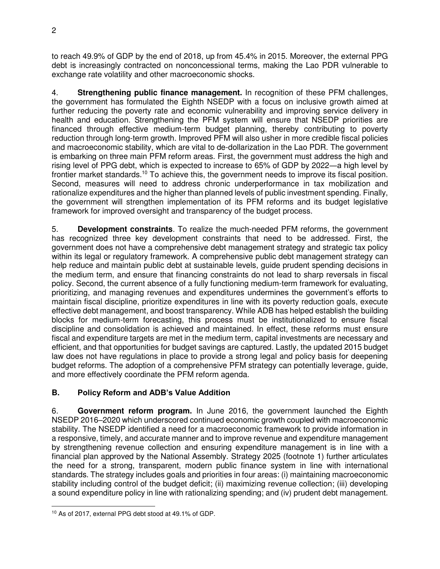to reach 49.9% of GDP by the end of 2018, up from 45.4% in 2015. Moreover, the external PPG debt is increasingly contracted on nonconcessional terms, making the Lao PDR vulnerable to exchange rate volatility and other macroeconomic shocks.

4. **Strengthening public finance management.** In recognition of these PFM challenges, the government has formulated the Eighth NSEDP with a focus on inclusive growth aimed at further reducing the poverty rate and economic vulnerability and improving service delivery in health and education. Strengthening the PFM system will ensure that NSEDP priorities are financed through effective medium-term budget planning, thereby contributing to poverty reduction through long-term growth. Improved PFM will also usher in more credible fiscal policies and macroeconomic stability, which are vital to de-dollarization in the Lao PDR. The government is embarking on three main PFM reform areas. First, the government must address the high and rising level of PPG debt, which is expected to increase to 65% of GDP by 2022―a high level by frontier market standards.<sup>10</sup> To achieve this, the government needs to improve its fiscal position. Second, measures will need to address chronic underperformance in tax mobilization and rationalize expenditures and the higher than planned levels of public investment spending. Finally, the government will strengthen implementation of its PFM reforms and its budget legislative framework for improved oversight and transparency of the budget process.

5. **Development constraints**. To realize the much-needed PFM reforms, the government has recognized three key development constraints that need to be addressed. First, the government does not have a comprehensive debt management strategy and strategic tax policy within its legal or regulatory framework. A comprehensive public debt management strategy can help reduce and maintain public debt at sustainable levels, guide prudent spending decisions in the medium term, and ensure that financing constraints do not lead to sharp reversals in fiscal policy. Second, the current absence of a fully functioning medium-term framework for evaluating, prioritizing, and managing revenues and expenditures undermines the government's efforts to maintain fiscal discipline, prioritize expenditures in line with its poverty reduction goals, execute effective debt management, and boost transparency. While ADB has helped establish the building blocks for medium-term forecasting, this process must be institutionalized to ensure fiscal discipline and consolidation is achieved and maintained. In effect, these reforms must ensure fiscal and expenditure targets are met in the medium term, capital investments are necessary and efficient, and that opportunities for budget savings are captured. Lastly, the updated 2015 budget law does not have regulations in place to provide a strong legal and policy basis for deepening budget reforms. The adoption of a comprehensive PFM strategy can potentially leverage, guide, and more effectively coordinate the PFM reform agenda.

## **B. Policy Reform and ADB's Value Addition**

6. **Government reform program.** In June 2016, the government launched the Eighth NSEDP 2016–2020 which underscored continued economic growth coupled with macroeconomic stability. The NSEDP identified a need for a macroeconomic framework to provide information in a responsive, timely, and accurate manner and to improve revenue and expenditure management by strengthening revenue collection and ensuring expenditure management is in line with a financial plan approved by the National Assembly. Strategy 2025 (footnote 1) further articulates the need for a strong, transparent, modern public finance system in line with international standards. The strategy includes goals and priorities in four areas: (i) maintaining macroeconomic stability including control of the budget deficit; (ii) maximizing revenue collection; (iii) developing a sound expenditure policy in line with rationalizing spending; and (iv) prudent debt management.

 $\overline{a}$ 10 As of 2017, external PPG debt stood at 49.1% of GDP.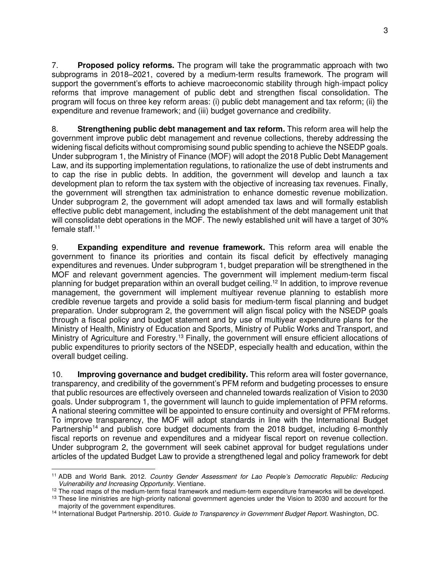7. **Proposed policy reforms.** The program will take the programmatic approach with two subprograms in 2018–2021, covered by a medium-term results framework. The program will support the government's efforts to achieve macroeconomic stability through high-impact policy reforms that improve management of public debt and strengthen fiscal consolidation. The program will focus on three key reform areas: (i) public debt management and tax reform; (ii) the expenditure and revenue framework; and (iii) budget governance and credibility.

8. **Strengthening public debt management and tax reform.** This reform area will help the government improve public debt management and revenue collections, thereby addressing the widening fiscal deficits without compromising sound public spending to achieve the NSEDP goals. Under subprogram 1, the Ministry of Finance (MOF) will adopt the 2018 Public Debt Management Law, and its supporting implementation regulations, to rationalize the use of debt instruments and to cap the rise in public debts. In addition, the government will develop and launch a tax development plan to reform the tax system with the objective of increasing tax revenues. Finally, the government will strengthen tax administration to enhance domestic revenue mobilization. Under subprogram 2, the government will adopt amended tax laws and will formally establish effective public debt management, including the establishment of the debt management unit that will consolidate debt operations in the MOF. The newly established unit will have a target of 30% female staff.<sup>11</sup>

9. **Expanding expenditure and revenue framework.** This reform area will enable the government to finance its priorities and contain its fiscal deficit by effectively managing expenditures and revenues. Under subprogram 1, budget preparation will be strengthened in the MOF and relevant government agencies. The government will implement medium-term fiscal planning for budget preparation within an overall budget ceiling.<sup>12</sup> In addition, to improve revenue management, the government will implement multiyear revenue planning to establish more credible revenue targets and provide a solid basis for medium-term fiscal planning and budget preparation. Under subprogram 2, the government will align fiscal policy with the NSEDP goals through a fiscal policy and budget statement and by use of multiyear expenditure plans for the Ministry of Health, Ministry of Education and Sports, Ministry of Public Works and Transport, and Ministry of Agriculture and Forestry.<sup>13</sup> Finally, the government will ensure efficient allocations of public expenditures to priority sectors of the NSEDP, especially health and education, within the overall budget ceiling.

10. **Improving governance and budget credibility.** This reform area will foster governance, transparency, and credibility of the government's PFM reform and budgeting processes to ensure that public resources are effectively overseen and channeled towards realization of Vision to 2030 goals. Under subprogram 1, the government will launch to guide implementation of PFM reforms. A national steering committee will be appointed to ensure continuity and oversight of PFM reforms. To improve transparency, the MOF will adopt standards in line with the International Budget Partnership<sup>14</sup> and publish core budget documents from the 2018 budget, including 6-monthly fiscal reports on revenue and expenditures and a midyear fiscal report on revenue collection. Under subprogram 2, the government will seek cabinet approval for budget regulations under articles of the updated Budget Law to provide a strengthened legal and policy framework for debt

 <sup>11</sup> ADB and World Bank. 2012. *Country Gender Assessment for Lao People's Democratic Republic: Reducing Vulnerability and Increasing Opportunity.* Vientiane.

 $12$  The road maps of the medium-term fiscal framework and medium-term expenditure frameworks will be developed.

<sup>&</sup>lt;sup>13</sup> These line ministries are high-priority national government agencies under the Vision to 2030 and account for the majority of the government expenditures.

<sup>14</sup> International Budget Partnership. 2010. *Guide to Transparency in Government Budget Report.* Washington, DC.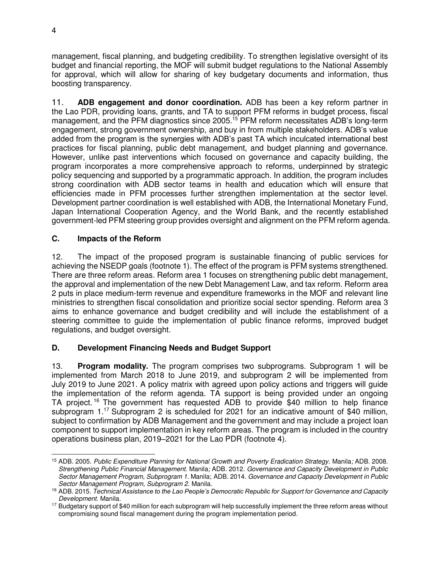management, fiscal planning, and budgeting credibility. To strengthen legislative oversight of its budget and financial reporting, the MOF will submit budget regulations to the National Assembly for approval, which will allow for sharing of key budgetary documents and information, thus boosting transparency.

11. **ADB engagement and donor coordination.** ADB has been a key reform partner in the Lao PDR, providing loans, grants, and TA to support PFM reforms in budget process, fiscal management, and the PFM diagnostics since 2005.<sup>15</sup> PFM reform necessitates ADB's long-term engagement, strong government ownership, and buy in from multiple stakeholders. ADB's value added from the program is the synergies with ADB's past TA which inculcated international best practices for fiscal planning, public debt management, and budget planning and governance. However, unlike past interventions which focused on governance and capacity building, the program incorporates a more comprehensive approach to reforms, underpinned by strategic policy sequencing and supported by a programmatic approach. In addition, the program includes strong coordination with ADB sector teams in health and education which will ensure that efficiencies made in PFM processes further strengthen implementation at the sector level. Development partner coordination is well established with ADB, the International Monetary Fund, Japan International Cooperation Agency, and the World Bank, and the recently established government-led PFM steering group provides oversight and alignment on the PFM reform agenda.

### **C. Impacts of the Reform**

12. The impact of the proposed program is sustainable financing of public services for achieving the NSEDP goals (footnote 1). The effect of the program is PFM systems strengthened. There are three reform areas. Reform area 1 focuses on strengthening public debt management, the approval and implementation of the new Debt Management Law, and tax reform. Reform area 2 puts in place medium-term revenue and expenditure frameworks in the MOF and relevant line ministries to strengthen fiscal consolidation and prioritize social sector spending. Reform area 3 aims to enhance governance and budget credibility and will include the establishment of a steering committee to guide the implementation of public finance reforms, improved budget regulations, and budget oversight.

## **D. Development Financing Needs and Budget Support**

13. **Program modality.** The program comprises two subprograms. Subprogram 1 will be implemented from March 2018 to June 2019, and subprogram 2 will be implemented from July 2019 to June 2021. A policy matrix with agreed upon policy actions and triggers will guide the implementation of the reform agenda. TA support is being provided under an ongoing TA project.<sup>16</sup> The government has requested ADB to provide \$40 million to help finance subprogram 1.<sup>17</sup> Subprogram 2 is scheduled for 2021 for an indicative amount of \$40 million, subject to confirmation by ADB Management and the government and may include a project loan component to support implementation in key reform areas. The program is included in the country operations business plan, 2019–2021 for the Lao PDR (footnote 4).

 <sup>15</sup> ADB. 2005. *Public Expenditure Planning for National Growth and Poverty Eradication Strategy.* Manila*;* ADB. 2008. *Strengthening Public Financial Management.* Manila*;* ADB. 2012. *Governance and Capacity Development in Public Sector Management Program, Subprogram 1.* Manila; ADB. 2014. *Governance and Capacity Development in Public Sector Management Program, Subprogram 2.* Manila.

<sup>16</sup> ADB. 2015. *Technical Assistance to the Lao People's Democratic Republic for Support for Governance and Capacity Development*. Manila.

<sup>&</sup>lt;sup>17</sup> Budgetary support of \$40 million for each subprogram will help successfully implement the three reform areas without compromising sound fiscal management during the program implementation period.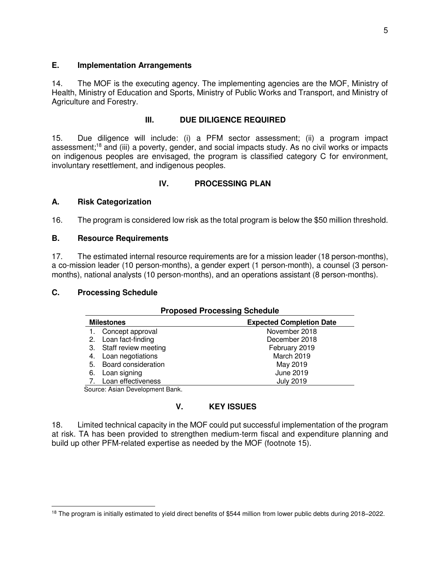#### **E. Implementation Arrangements**

14. The MOF is the executing agency. The implementing agencies are the MOF, Ministry of Health, Ministry of Education and Sports, Ministry of Public Works and Transport, and Ministry of Agriculture and Forestry.

#### **III. DUE DILIGENCE REQUIRED**

15. Due diligence will include: (i) a PFM sector assessment; (ii) a program impact assessment;<sup>18</sup> and (iii) a poverty, gender, and social impacts study. As no civil works or impacts on indigenous peoples are envisaged, the program is classified category C for environment, involuntary resettlement, and indigenous peoples.

### **IV. PROCESSING PLAN**

#### **A. Risk Categorization**

16. The program is considered low risk as the total program is below the \$50 million threshold.

#### **B. Resource Requirements**

17. The estimated internal resource requirements are for a mission leader (18 person-months), a co-mission leader (10 person-months), a gender expert (1 person-month), a counsel (3 personmonths), national analysts (10 person-months), and an operations assistant (8 person-months).

### **C. Processing Schedule**

| <b>Proposed Processing Schedule</b> |                                |                                 |
|-------------------------------------|--------------------------------|---------------------------------|
| <b>Milestones</b>                   |                                | <b>Expected Completion Date</b> |
|                                     | Concept approval               | November 2018                   |
|                                     | 2. Loan fact-finding           | December 2018                   |
|                                     | 3. Staff review meeting        | February 2019                   |
| 4.                                  | Loan negotiations              | March 2019                      |
| 5.                                  | Board consideration            | May 2019                        |
| 6.                                  | Loan signing                   | June 2019                       |
|                                     | 7. Loan effectiveness          | <b>July 2019</b>                |
|                                     | Course: Asian Douglanment Dank |                                 |

Source: Asian Development Bank.

### **V. KEY ISSUES**

18. Limited technical capacity in the MOF could put successful implementation of the program at risk. TA has been provided to strengthen medium-term fiscal and expenditure planning and build up other PFM-related expertise as needed by the MOF (footnote 15).

 $\overline{a}$ <sup>18</sup> The program is initially estimated to yield direct benefits of \$544 million from lower public debts during 2018–2022.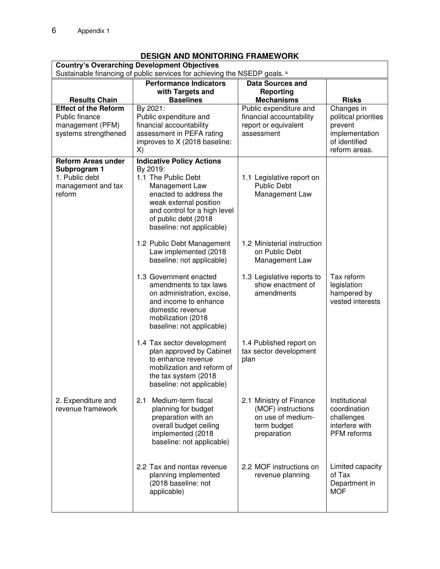## **DESIGN AND MONITORING FRAMEWORK**

| <b>Country's Overarching Development Objectives</b><br>Sustainable financing of public services for achieving the NSEDP goals. <sup>a</sup> |                                                          |                                               |                                 |  |
|---------------------------------------------------------------------------------------------------------------------------------------------|----------------------------------------------------------|-----------------------------------------------|---------------------------------|--|
|                                                                                                                                             | <b>Performance Indicators</b><br><b>Data Sources and</b> |                                               |                                 |  |
|                                                                                                                                             | with Targets and                                         | <b>Reporting</b>                              |                                 |  |
| <b>Results Chain</b><br><b>Effect of the Reform</b>                                                                                         | <b>Baselines</b><br>By 2021:                             | <b>Mechanisms</b><br>Public expenditure and   | <b>Risks</b><br>Changes in      |  |
| Public finance                                                                                                                              | Public expenditure and                                   | financial accountability                      | political priorities            |  |
| management (PFM)                                                                                                                            | financial accountability                                 | report or equivalent                          | prevent                         |  |
| systems strengthened                                                                                                                        | assessment in PEFA rating                                | assessment                                    | implementation                  |  |
|                                                                                                                                             | improves to X (2018 baseline:                            |                                               | of identified<br>reform areas.  |  |
|                                                                                                                                             | X)                                                       |                                               |                                 |  |
| <b>Reform Areas under</b><br>Subprogram 1                                                                                                   | <b>Indicative Policy Actions</b><br>By 2019:             |                                               |                                 |  |
| 1. Public debt                                                                                                                              | 1.1 The Public Debt                                      | 1.1 Legislative report on                     |                                 |  |
| management and tax                                                                                                                          | Management Law                                           | <b>Public Debt</b>                            |                                 |  |
| reform                                                                                                                                      | enacted to address the                                   | Management Law                                |                                 |  |
|                                                                                                                                             | weak external position                                   |                                               |                                 |  |
|                                                                                                                                             | and control for a high level<br>of public debt (2018     |                                               |                                 |  |
|                                                                                                                                             | baseline: not applicable)                                |                                               |                                 |  |
|                                                                                                                                             |                                                          |                                               |                                 |  |
|                                                                                                                                             | 1.2 Public Debt Management<br>Law implemented (2018      | 1.2 Ministerial instruction<br>on Public Debt |                                 |  |
|                                                                                                                                             | baseline: not applicable)                                | Management Law                                |                                 |  |
|                                                                                                                                             |                                                          |                                               |                                 |  |
|                                                                                                                                             | 1.3 Government enacted                                   | 1.3 Legislative reports to                    | Tax reform                      |  |
|                                                                                                                                             | amendments to tax laws                                   | show enactment of                             | legislation                     |  |
|                                                                                                                                             | on administration, excise,<br>and income to enhance      | amendments                                    | hampered by<br>vested interests |  |
|                                                                                                                                             | domestic revenue                                         |                                               |                                 |  |
|                                                                                                                                             | mobilization (2018                                       |                                               |                                 |  |
|                                                                                                                                             | baseline: not applicable)                                |                                               |                                 |  |
|                                                                                                                                             | 1.4 Tax sector development                               | 1.4 Published report on                       |                                 |  |
|                                                                                                                                             | plan approved by Cabinet                                 | tax sector development                        |                                 |  |
|                                                                                                                                             | to enhance revenue                                       | plan                                          |                                 |  |
|                                                                                                                                             | mobilization and reform of                               |                                               |                                 |  |
|                                                                                                                                             | the tax system (2018<br>baseline: not applicable)        |                                               |                                 |  |
|                                                                                                                                             |                                                          |                                               |                                 |  |
| 2. Expenditure and                                                                                                                          | Medium-term fiscal<br>2.1                                | 2.1 Ministry of Finance                       | Institutional                   |  |
| revenue framework                                                                                                                           | planning for budget                                      | (MOF) instructions                            | coordination                    |  |
|                                                                                                                                             | preparation with an<br>overall budget ceiling            | on use of medium-<br>term budget              | challenges<br>interfere with    |  |
|                                                                                                                                             | implemented (2018                                        | preparation                                   | PFM reforms                     |  |
|                                                                                                                                             | baseline: not applicable)                                |                                               |                                 |  |
|                                                                                                                                             |                                                          |                                               |                                 |  |
|                                                                                                                                             | 2.2 Tax and nontax revenue                               | 2.2 MOF instructions on                       | Limited capacity                |  |
|                                                                                                                                             | planning implemented                                     | revenue planning                              | of Tax                          |  |
|                                                                                                                                             | (2018 baseline: not                                      |                                               | Department in                   |  |
|                                                                                                                                             | applicable)                                              |                                               | <b>MOF</b>                      |  |
|                                                                                                                                             |                                                          |                                               |                                 |  |
|                                                                                                                                             |                                                          |                                               |                                 |  |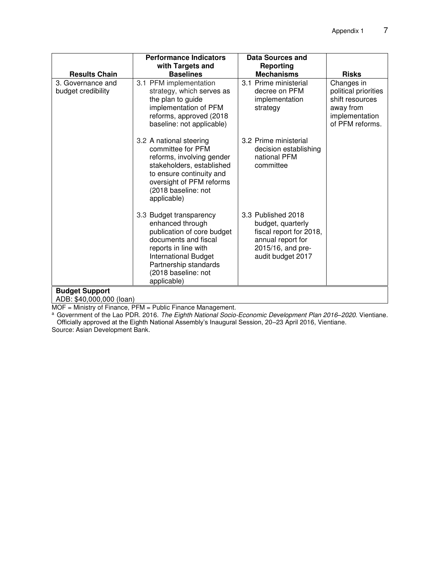|                                         | <b>Performance Indicators</b>                                                                                                                                                                                           | <b>Data Sources and</b>                                                                                                           |                                                                                                         |  |
|-----------------------------------------|-------------------------------------------------------------------------------------------------------------------------------------------------------------------------------------------------------------------------|-----------------------------------------------------------------------------------------------------------------------------------|---------------------------------------------------------------------------------------------------------|--|
|                                         | with Targets and                                                                                                                                                                                                        | <b>Reporting</b>                                                                                                                  |                                                                                                         |  |
| <b>Results Chain</b>                    | <b>Baselines</b>                                                                                                                                                                                                        | <b>Mechanisms</b>                                                                                                                 | <b>Risks</b>                                                                                            |  |
| 3. Governance and<br>budget credibility | 3.1 PFM implementation<br>strategy, which serves as<br>the plan to guide<br>implementation of PFM<br>reforms, approved (2018)<br>baseline: not applicable)                                                              | 3.1 Prime ministerial<br>decree on PFM<br>implementation<br>strategy                                                              | Changes in<br>political priorities<br>shift resources<br>away from<br>implementation<br>of PFM reforms. |  |
|                                         | 3.2 A national steering<br>committee for PFM<br>reforms, involving gender<br>stakeholders, established<br>to ensure continuity and<br>oversight of PFM reforms<br>(2018 baseline: not<br>applicable)                    | 3.2 Prime ministerial<br>decision establishing<br>national PFM<br>committee                                                       |                                                                                                         |  |
|                                         | 3.3 Budget transparency<br>enhanced through<br>publication of core budget<br>documents and fiscal<br>reports in line with<br><b>International Budget</b><br>Partnership standards<br>(2018 baseline: not<br>applicable) | 3.3 Published 2018<br>budget, quarterly<br>fiscal report for 2018,<br>annual report for<br>2015/16, and pre-<br>audit budget 2017 |                                                                                                         |  |
| <b>Budget Support</b>                   |                                                                                                                                                                                                                         |                                                                                                                                   |                                                                                                         |  |
| ADB: \$40,000,000 (loan)                |                                                                                                                                                                                                                         |                                                                                                                                   |                                                                                                         |  |

MOF = Ministry of Finance, PFM = Public Finance Management. a Government of the Lao PDR. 2016. *The Eighth National Socio-Economic Development Plan 2016–2020*. Vientiane. Officially approved at the Eighth National Assembly's Inaugural Session, 20–23 April 2016, Vientiane.

Source: Asian Development Bank.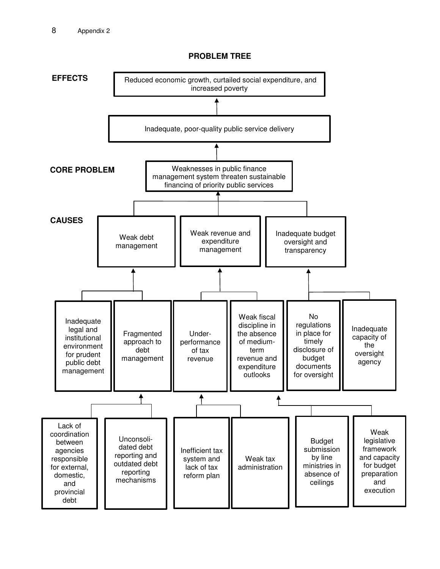

#### **PROBLEM TREE**